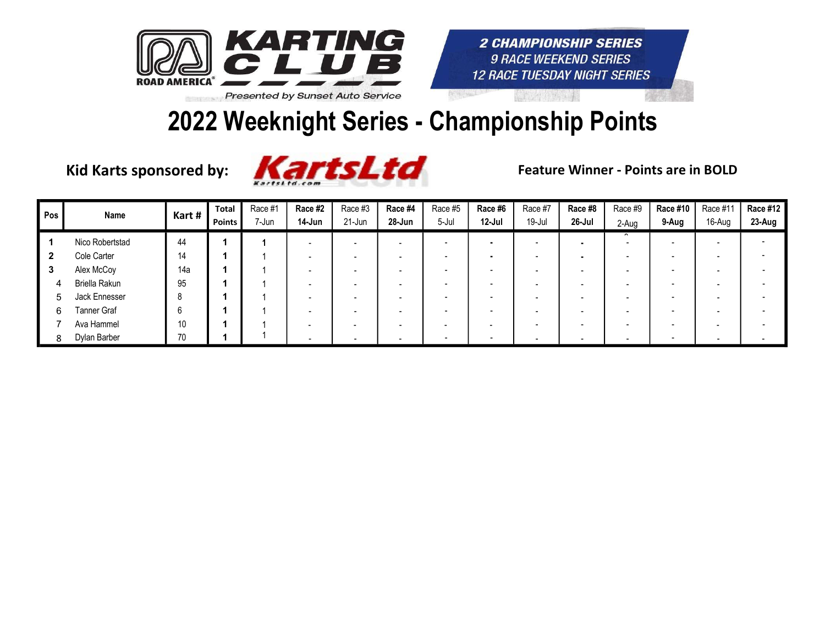

#### 2022 Weeknight Series - Championship Points



| Pos | Name            | Kart# | <b>Total</b><br><b>Points</b> | Race #1<br>7-Jun | Race #2<br>14-Jun | Race #3<br>21-Jun | Race #4<br>28-Jun        | Race #5<br>5-Jul | Race #6<br>12-Jul        | Race #7<br>19-Jul        | Race #8<br>26-Jul        | Race #9<br>2-Aug | Race #10<br>9-Aug        | Race #11<br>16-Aug       | <b>Race #12</b><br>23-Aug |
|-----|-----------------|-------|-------------------------------|------------------|-------------------|-------------------|--------------------------|------------------|--------------------------|--------------------------|--------------------------|------------------|--------------------------|--------------------------|---------------------------|
|     | Nico Robertstad | 44    |                               |                  |                   |                   | $\overline{\phantom{0}}$ |                  |                          |                          | $\blacksquare$           |                  |                          |                          |                           |
|     | Cole Carter     | 14    |                               |                  |                   |                   |                          |                  |                          |                          |                          |                  |                          |                          |                           |
| - 3 | Alex McCoy      | 14a   |                               |                  |                   |                   |                          |                  |                          |                          |                          |                  |                          |                          |                           |
|     | Briella Rakun   | 95    |                               |                  |                   |                   |                          |                  |                          |                          | $\overline{\phantom{a}}$ |                  | $\overline{\phantom{a}}$ |                          |                           |
| 5   | Jack Ennesser   |       |                               |                  |                   |                   |                          |                  |                          |                          | $\overline{\phantom{a}}$ |                  | -                        |                          |                           |
| 6   | Tanner Graf     |       |                               |                  |                   |                   |                          |                  |                          |                          |                          |                  | -                        |                          |                           |
|     | Ava Hammel      | 10    |                               |                  |                   |                   |                          |                  | $\overline{\phantom{0}}$ |                          |                          |                  |                          |                          |                           |
|     | Dylan Barber    | 70    |                               |                  |                   |                   | $\sim$                   |                  |                          | $\overline{\phantom{0}}$ |                          |                  |                          | $\overline{\phantom{0}}$ |                           |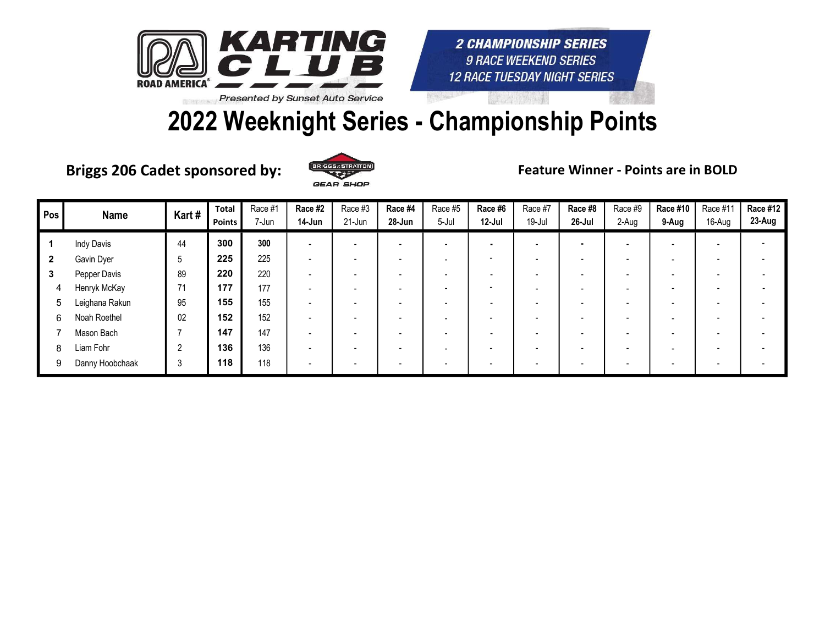

### 2022 Weeknight Series - Championship Points

Briggs 206 Cadet sponsored by: ERICGS SSTILATION Feature Winner - Points are in BOLD



| Pos          | <b>Name</b>       | Kart#       | <b>Total</b><br><b>Points</b> | Race #1<br>7-Jun | Race #2<br>14-Jun        | Race #3<br>21-Jun | Race #4<br>28-Jun        | Race #5<br>5-Jul | Race #6<br>12-Jul        | Race #7<br>19-Jul | Race #8<br>26-Jul        | Race #9<br>2-Aug | <b>Race #10</b><br>9-Aug | Race #11<br>16-Aug | <b>Race #12</b><br>23-Aug |
|--------------|-------------------|-------------|-------------------------------|------------------|--------------------------|-------------------|--------------------------|------------------|--------------------------|-------------------|--------------------------|------------------|--------------------------|--------------------|---------------------------|
|              | <b>Indy Davis</b> | 44          | 300                           | 300              | $\overline{\phantom{0}}$ |                   | $\overline{\phantom{0}}$ |                  |                          |                   | $\blacksquare$           |                  |                          |                    |                           |
| $\mathbf{2}$ | Gavin Dyer        | $\mathbf b$ | 225                           | 225              | $\overline{\phantom{0}}$ |                   | $\overline{\phantom{0}}$ |                  | $\overline{\phantom{0}}$ |                   | $\overline{\phantom{a}}$ |                  |                          |                    |                           |
| 3            | Pepper Davis      | 89          | 220                           | 220              | $\overline{\phantom{0}}$ |                   | -                        |                  | $\overline{\phantom{0}}$ |                   | $\overline{\phantom{0}}$ |                  |                          |                    |                           |
| 4            | Henryk McKay      | 71          | 177                           | 177              | $\overline{\phantom{0}}$ |                   | $\overline{\phantom{0}}$ |                  | -                        |                   | $\overline{\phantom{a}}$ |                  |                          |                    |                           |
| 5            | Leighana Rakun    | 95          | 155                           | 155              | $\overline{\phantom{0}}$ |                   | $\overline{\phantom{0}}$ |                  |                          |                   | $\overline{\phantom{a}}$ |                  |                          |                    |                           |
| 6            | Noah Roethel      | 02          | 152                           | 152              | $\overline{\phantom{0}}$ |                   | $\overline{\phantom{0}}$ |                  | $\overline{\phantom{0}}$ |                   | $\overline{\phantom{a}}$ |                  |                          |                    |                           |
|              | Mason Bach        |             | 147                           | 147              | $\overline{\phantom{a}}$ |                   | -                        |                  |                          |                   | $\overline{\phantom{0}}$ |                  |                          |                    |                           |
| 8            | Liam Fohr         | 2           | 136                           | 136              | $\overline{\phantom{a}}$ |                   | $\overline{\phantom{0}}$ |                  | $\overline{\phantom{0}}$ |                   | $\overline{\phantom{a}}$ |                  |                          |                    |                           |
| 9            | Danny Hoobchaak   | 3           | 118                           | 118              |                          |                   |                          |                  |                          |                   | $\overline{\phantom{0}}$ |                  |                          |                    |                           |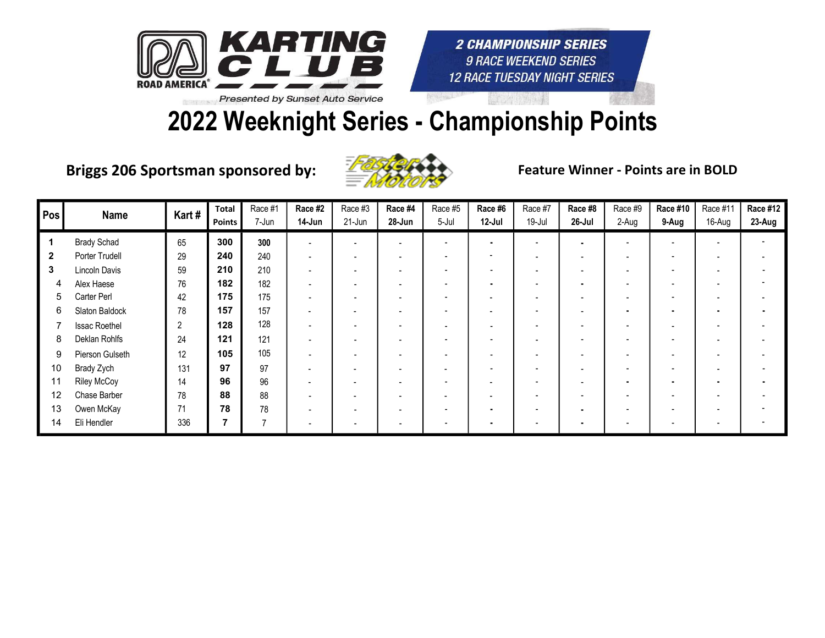

# 2022 Weeknight Series - Championship Points

Briggs 206 Sportsman sponsored by: Entry Seature Winner - Points are in BOLD



| Pos          | <b>Name</b>          | Kart# | <b>Total</b><br><b>Points</b> | Race #1<br>7-Jun | Race #2<br>14-Jun        | Race #3<br>21-Jun        | Race #4<br>28-Jun        | Race #5<br>5-Jul | Race #6<br>12-Jul        | Race #7<br>19-Jul        | Race #8<br>26-Jul        | Race #9<br>2-Aug | <b>Race #10</b><br>9-Aug | Race #11<br>16-Aug | <b>Race #12</b><br>23-Aug |
|--------------|----------------------|-------|-------------------------------|------------------|--------------------------|--------------------------|--------------------------|------------------|--------------------------|--------------------------|--------------------------|------------------|--------------------------|--------------------|---------------------------|
|              | <b>Brady Schad</b>   | 65    | 300                           | 300              | $\overline{\phantom{a}}$ |                          | ۰                        |                  | $\blacksquare$           |                          | $\blacksquare$           |                  |                          |                    |                           |
| $\mathbf{2}$ | Porter Trudell       | 29    | 240                           | 240              | $\blacksquare$           | -                        | $\overline{\phantom{a}}$ | -                | $\overline{\phantom{a}}$ | $\overline{\phantom{a}}$ | $\overline{\phantom{a}}$ |                  | $\overline{\phantom{a}}$ |                    |                           |
| 3            | Lincoln Davis        | 59    | 210                           | 210              | $\overline{\phantom{0}}$ |                          |                          |                  | $\overline{\phantom{0}}$ |                          |                          |                  |                          |                    |                           |
| 4            | Alex Haese           | 76    | 182                           | 182              | $\overline{a}$           |                          |                          |                  | $\blacksquare$           |                          | $\blacksquare$           |                  |                          |                    |                           |
| 5            | Carter Perl          | 42    | 175                           | 175              | $\overline{\phantom{0}}$ | $\overline{\phantom{0}}$ | $\overline{\phantom{0}}$ |                  | $\overline{\phantom{0}}$ | $\overline{\phantom{a}}$ | $\overline{\phantom{0}}$ |                  |                          |                    |                           |
| 6            | Slaton Baldock       | 78    | 157                           | 157              | $\overline{\phantom{0}}$ |                          |                          |                  | -                        |                          | $\overline{\phantom{a}}$ |                  | $\blacksquare$           |                    |                           |
|              | <b>Issac Roethel</b> | 2     | 128                           | 128              | $\blacksquare$           | $\overline{\phantom{a}}$ | $\overline{\phantom{a}}$ | -                | $\overline{\phantom{a}}$ | $\overline{\phantom{a}}$ | $\blacksquare$           |                  | $\overline{\phantom{a}}$ |                    |                           |
| 8            | Deklan Rohlfs        | 24    | 121                           | 121              |                          |                          |                          |                  | $\overline{\phantom{0}}$ |                          | $\overline{\phantom{a}}$ |                  |                          |                    |                           |
| 9            | Pierson Gulseth      | 12    | 105                           | 105              | $\overline{a}$           |                          | $\overline{\phantom{0}}$ |                  | $\overline{\phantom{0}}$ |                          | $\overline{\phantom{a}}$ |                  |                          |                    |                           |
| 10           | Brady Zych           | 131   | 97                            | 97               | $\overline{\phantom{0}}$ |                          | $\overline{\phantom{0}}$ |                  | $\overline{\phantom{a}}$ | $\overline{\phantom{0}}$ | $\overline{\phantom{a}}$ |                  | $\overline{\phantom{a}}$ |                    |                           |
| 11           | <b>Riley McCoy</b>   | 14    | 96                            | 96               | $\blacksquare$           | $\overline{\phantom{a}}$ | $\overline{\phantom{0}}$ |                  | $\overline{\phantom{0}}$ | $\overline{\phantom{0}}$ | $\overline{\phantom{a}}$ |                  | $\blacksquare$           |                    |                           |
| 12           | Chase Barber         | 78    | 88                            | 88               | $\overline{a}$           |                          |                          |                  | $\overline{\phantom{0}}$ |                          | $\overline{\phantom{a}}$ |                  |                          |                    |                           |
| 13           | Owen McKay           | 71    | 78                            | 78               | $\overline{a}$           | $\overline{\phantom{0}}$ | $\overline{\phantom{0}}$ |                  |                          |                          | $\blacksquare$           |                  | $\overline{\phantom{a}}$ |                    |                           |
| 14           | Eli Hendler          | 336   |                               |                  | $\overline{\phantom{a}}$ |                          | $\blacksquare$           |                  |                          |                          | $\blacksquare$           |                  |                          |                    |                           |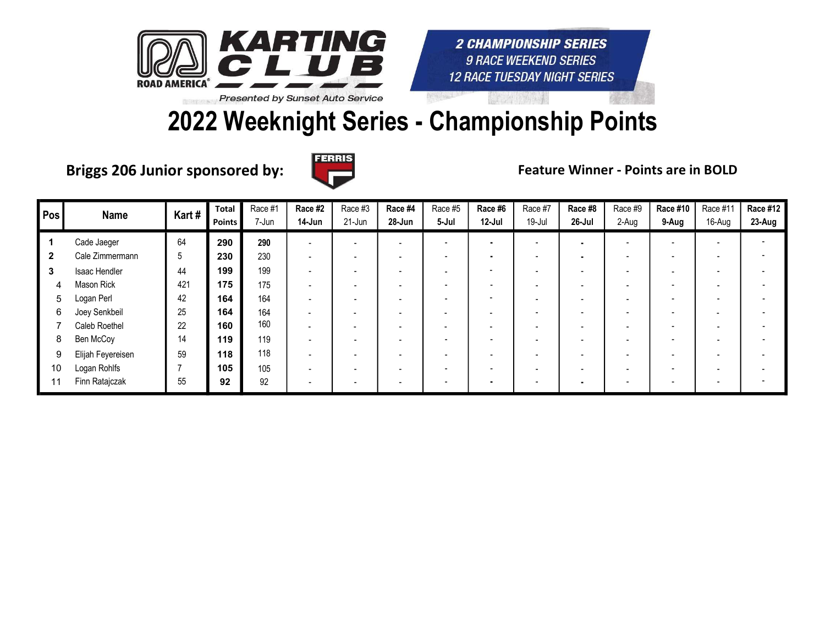

## 2022 Weeknight Series - Championship Points

Briggs 206 Junior sponsored by:  $\Box$  The Reature Winner - Points are in BOLD



| Pos          | Name              | Kart# | Total<br>Points | Race #1<br>7-Jun | Race #2<br>14-Jun        | Race #3<br>21-Jun | Race #4<br>28-Jun        | Race #5<br>5-Jul | Race #6<br>12-Jul        | Race #7<br>19-Jul        | Race #8<br>$26$ -Jul     | Race #9<br>2-Aug | Race #10<br>9-Aug        | Race #11<br>16-Aug       | <b>Race #12</b><br>23-Aug |
|--------------|-------------------|-------|-----------------|------------------|--------------------------|-------------------|--------------------------|------------------|--------------------------|--------------------------|--------------------------|------------------|--------------------------|--------------------------|---------------------------|
|              | Cade Jaeger       | 64    | 290             | 290              | $\overline{\phantom{0}}$ |                   | -                        |                  | ۰                        | $\overline{\phantom{a}}$ | $\blacksquare$           |                  | $\overline{\phantom{0}}$ | $\overline{\phantom{0}}$ |                           |
| $\mathbf{2}$ | Cale Zimmermann   | 5     | 230             | 230              | $\overline{\phantom{a}}$ |                   | $\overline{\phantom{0}}$ |                  |                          |                          | $\blacksquare$           |                  | $\overline{\phantom{a}}$ |                          |                           |
| 3            | Isaac Hendler     | 44    | 199             | 199              | $\overline{\phantom{a}}$ |                   |                          |                  | $\overline{\phantom{0}}$ |                          | $\overline{\phantom{0}}$ |                  |                          |                          |                           |
| 4            | Mason Rick        | 421   | 175             | 175              | $\overline{\phantom{a}}$ |                   | $\overline{\phantom{0}}$ |                  |                          |                          | $\overline{\phantom{a}}$ |                  |                          |                          |                           |
| 5            | Logan Perl        | 42    | 164             | 164              | $\overline{\phantom{0}}$ | -                 | $\overline{\phantom{0}}$ |                  | -                        |                          | $\overline{\phantom{a}}$ |                  |                          |                          |                           |
| 6            | Joey Senkbeil     | 25    | 164             | 164              | $\overline{\phantom{0}}$ |                   |                          |                  |                          |                          | $\overline{\phantom{a}}$ |                  |                          |                          |                           |
|              | Caleb Roethel     | 22    | 160             | 160              |                          |                   |                          |                  |                          |                          | $\overline{\phantom{0}}$ |                  |                          |                          |                           |
| 8            | Ben McCoy         | 14    | 119             | 119              | $\overline{\phantom{0}}$ |                   | $\overline{\phantom{0}}$ |                  | $\overline{\phantom{0}}$ |                          | $\overline{\phantom{a}}$ |                  |                          |                          |                           |
| 9            | Elijah Feyereisen | 59    | 118             | 118              | $\overline{\phantom{0}}$ |                   | $\overline{\phantom{0}}$ |                  |                          |                          | $\overline{\phantom{a}}$ |                  |                          |                          |                           |
| 10           | Logan Rohlfs      |       | 105             | 105              | $\overline{\phantom{0}}$ |                   | $\overline{\phantom{0}}$ |                  |                          |                          | $\overline{\phantom{a}}$ |                  |                          |                          |                           |
| 11           | Finn Ratajczak    | 55    | 92              | 92               |                          |                   | $\overline{\phantom{a}}$ |                  |                          |                          | $\blacksquare$           |                  |                          |                          |                           |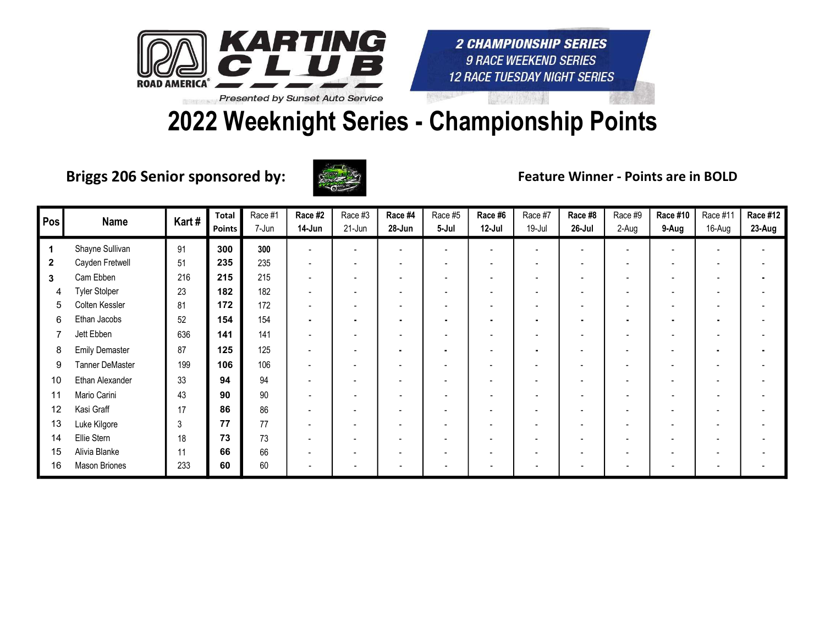

# 2022 Weeknight Series - Championship Points

Briggs 206 Senior sponsored by: Feature Winner - Points are in BOLD



| Pos | <b>Name</b>            | Kart# | <b>Total</b><br><b>Points</b> | Race #1<br>7-Jun | Race #2<br>14-Jun        | Race #3<br>$21$ -Jun | Race #4<br>28-Jun        | Race #5<br>5-Jul         | Race #6<br>$12$ -Jul     | Race #7<br>$19 -$ Jul    | Race #8<br>26-Jul        | Race #9<br>2-Aug | Race #10<br>9-Aug        | Race #11<br>16-Aug | <b>Race #12</b><br>23-Aug |
|-----|------------------------|-------|-------------------------------|------------------|--------------------------|----------------------|--------------------------|--------------------------|--------------------------|--------------------------|--------------------------|------------------|--------------------------|--------------------|---------------------------|
|     | Shayne Sullivan        | 91    | 300                           | 300              |                          |                      | $\equiv$                 | $\overline{\phantom{0}}$ |                          |                          |                          |                  |                          |                    |                           |
|     | Cayden Fretwell        | 51    | 235                           | 235              | $\overline{\phantom{0}}$ |                      | $\overline{\phantom{0}}$ | $\overline{\phantom{0}}$ | $\overline{\phantom{0}}$ |                          | $\overline{\phantom{0}}$ |                  |                          |                    |                           |
| 3   | Cam Ebben              | 216   | 215                           | 215              |                          |                      |                          |                          |                          |                          |                          |                  |                          |                    |                           |
|     | <b>Tyler Stolper</b>   | 23    | 182                           | 182              |                          |                      |                          |                          |                          |                          |                          |                  |                          |                    |                           |
| 5   | Colten Kessler         | 81    | 172                           | 172              | $\overline{\phantom{a}}$ |                      | ۰                        | $\blacksquare$           | $\overline{\phantom{0}}$ | $\overline{\phantom{a}}$ | $\overline{\phantom{a}}$ |                  | $\overline{\phantom{a}}$ |                    |                           |
| 6   | Ethan Jacobs           | 52    | 154                           | 154              | $\blacksquare$           |                      | $\bullet$                | $\blacksquare$           | $\blacksquare$           |                          | $\blacksquare$           |                  | ٠                        |                    |                           |
|     | Jett Ebben             | 636   | 141                           | 141              |                          |                      |                          |                          |                          |                          |                          |                  |                          |                    |                           |
| 8   | <b>Emily Demaster</b>  | 87    | 125                           | 125              |                          |                      |                          |                          | $\overline{\phantom{0}}$ |                          |                          |                  |                          |                    |                           |
| 9   | <b>Tanner DeMaster</b> | 199   | 106                           | 106              |                          |                      |                          |                          |                          |                          |                          |                  |                          |                    |                           |
| 10  | Ethan Alexander        | 33    | 94                            | 94               |                          |                      | $\overline{\phantom{a}}$ |                          | $\overline{\phantom{0}}$ |                          | $\overline{\phantom{0}}$ |                  |                          |                    |                           |
| 11  | Mario Carini           | 43    | 90                            | 90               |                          |                      | $\overline{\phantom{0}}$ |                          | $\overline{\phantom{0}}$ |                          |                          |                  |                          |                    |                           |
| 12  | Kasi Graff             | 17    | 86                            | 86               |                          |                      |                          |                          |                          |                          |                          |                  |                          |                    |                           |
| 13  | Luke Kilgore           | 3     | 77                            | 77               | $\overline{\phantom{a}}$ |                      | $\overline{\phantom{a}}$ |                          | $\overline{\phantom{0}}$ | $\overline{\phantom{0}}$ | $\overline{\phantom{0}}$ |                  |                          |                    |                           |
| 14  | Ellie Stern            | 18    | 73                            | 73               |                          |                      |                          |                          | $\overline{\phantom{0}}$ |                          |                          |                  |                          |                    |                           |
| 15  | Alivia Blanke          | 11    | 66                            | 66               |                          |                      |                          |                          | $\overline{\phantom{0}}$ |                          |                          |                  |                          |                    |                           |
| 16  | Mason Briones          | 233   | 60                            | 60               |                          |                      |                          |                          |                          |                          |                          |                  |                          |                    |                           |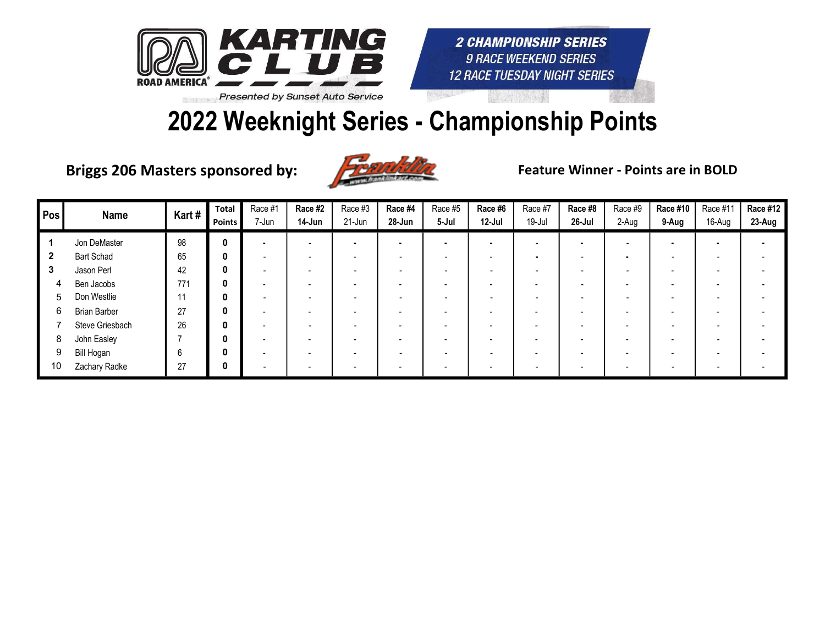

#### 2022 Weeknight Series - Championship Points

Briggs 206 Masters sponsored by: Feature Winner - Points are in BOLD



| Pos | <b>Name</b>         | Kart# | <b>Total</b><br>Points | Race #1<br>7-Jun | Race #2<br>14-Jun | Race #3<br>21-Jun        | Race #4<br>28-Jun        | Race #5<br>5-Jul | Race #6<br>12-Jul        | Race #7<br>19-Jul | Race #8<br>$26$ -Jul     | Race #9<br>2-Aug | <b>Race #10</b><br>9-Aug | Race #11<br>16-Aug | <b>Race #12</b><br>23-Aug |
|-----|---------------------|-------|------------------------|------------------|-------------------|--------------------------|--------------------------|------------------|--------------------------|-------------------|--------------------------|------------------|--------------------------|--------------------|---------------------------|
|     | Jon DeMaster        | 98    | 0                      |                  |                   | $\blacksquare$           |                          |                  | $\blacksquare$           |                   | ۰                        |                  | $\bullet$                |                    |                           |
| 2   | <b>Bart Schad</b>   | 65    | 0                      |                  |                   | $\overline{\phantom{0}}$ | $\overline{\phantom{0}}$ | -                | -                        |                   | $\overline{\phantom{a}}$ |                  | $\overline{\phantom{a}}$ |                    |                           |
| 3   | Jason Perl          | 42    | 0                      |                  |                   |                          |                          |                  | $\overline{\phantom{0}}$ |                   | $\overline{\phantom{0}}$ |                  | $\overline{\phantom{0}}$ |                    |                           |
|     | Ben Jacobs          | 771   | 0                      |                  |                   |                          |                          |                  | $\overline{\phantom{0}}$ |                   | $\overline{\phantom{0}}$ |                  | $\overline{\phantom{0}}$ |                    |                           |
| 5   | Don Westlie         | 11    | 0                      |                  |                   |                          | $\overline{\phantom{0}}$ |                  | -                        |                   | $\overline{\phantom{0}}$ |                  | $\overline{\phantom{0}}$ |                    |                           |
| 6   | <b>Brian Barber</b> | 27    | 0                      |                  |                   |                          | $\overline{\phantom{a}}$ |                  | -                        |                   | $\overline{\phantom{0}}$ |                  | $\overline{\phantom{0}}$ |                    |                           |
|     | Steve Griesbach     | 26    | 0                      |                  |                   |                          | $\overline{\phantom{0}}$ |                  | -                        |                   |                          |                  |                          |                    |                           |
| 8   | John Easley         |       | 0                      |                  |                   |                          | $\overline{\phantom{0}}$ |                  | -                        |                   | $\overline{\phantom{0}}$ |                  | $\overline{\phantom{0}}$ |                    |                           |
| 9   | Bill Hogan          | 6     | 0                      |                  |                   |                          | $\overline{\phantom{0}}$ |                  | $\overline{\phantom{0}}$ |                   | $\overline{\phantom{0}}$ |                  | $\overline{\phantom{0}}$ |                    |                           |
| 10  | Zachary Radke       | 27    | 0                      |                  |                   |                          |                          |                  |                          |                   |                          |                  |                          |                    |                           |